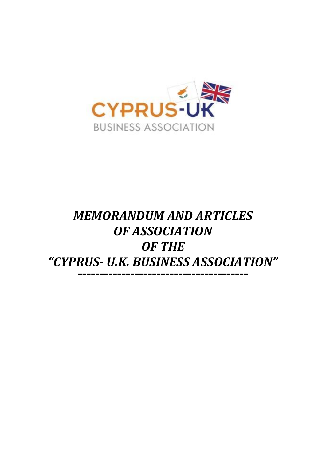

# *MEMORANDUM AND ARTICLES OF ASSOCIATION OF THE "CYPRUS- U.K. BUSINESS ASSOCIATION" =======================================*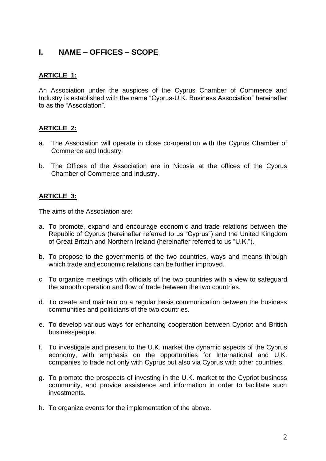# **I. NAME – OFFICES – SCOPE**

## **ARTICLE 1:**

An Association under the auspices of the Cyprus Chamber of Commerce and Industry is established with the name "Cyprus-U.K. Business Association" hereinafter to as the "Association".

#### **ARTICLE 2:**

- a. The Association will operate in close co-operation with the Cyprus Chamber of Commerce and Industry.
- b. The Offices of the Association are in Nicosia at the offices of the Cyprus Chamber of Commerce and Industry.

## **ARTICLE 3:**

The aims of the Association are:

- a. To promote, expand and encourage economic and trade relations between the Republic of Cyprus (hereinafter referred to us "Cyprus") and the United Kingdom of Great Britain and Northern Ireland (hereinafter referred to us "U.K.").
- b. To propose to the governments of the two countries, ways and means through which trade and economic relations can be further improved.
- c. To organize meetings with officials of the two countries with a view to safeguard the smooth operation and flow of trade between the two countries.
- d. To create and maintain on a regular basis communication between the business communities and politicians of the two countries.
- e. To develop various ways for enhancing cooperation between Cypriot and British businesspeople.
- f. To investigate and present to the U.K. market the dynamic aspects of the Cyprus economy, with emphasis on the opportunities for International and U.K. companies to trade not only with Cyprus but also via Cyprus with other countries.
- g. To promote the prospects of investing in the U.K. market to the Cypriot business community, and provide assistance and information in order to facilitate such investments.
- h. To organize events for the implementation of the above.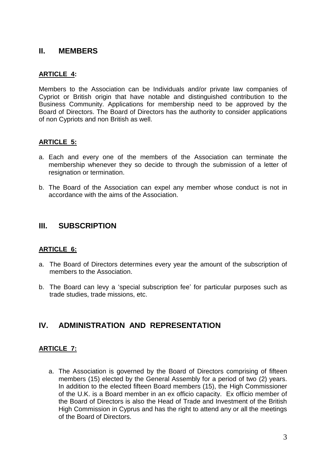# **II. MEMBERS**

## **ARTICLE 4:**

Members to the Association can be Individuals and/or private law companies of Cypriot or British origin that have notable and distinguished contribution to the Business Community. Applications for membership need to be approved by the Board of Directors. The Board of Directors has the authority to consider applications of non Cypriots and non British as well.

#### **ARTICLE 5:**

- a. Each and every one of the members of the Association can terminate the membership whenever they so decide to through the submission of a letter of resignation or termination.
- b. The Board of the Association can expel any member whose conduct is not in accordance with the aims of the Association.

## **III. SUBSCRIPTION**

#### **ARTICLE 6:**

- a. The Board of Directors determines every year the amount of the subscription of members to the Association.
- b. The Board can levy a 'special subscription fee' for particular purposes such as trade studies, trade missions, etc.

# **IV. ADMINISTRATION AND REPRESENTATION**

#### **ARTICLE 7:**

a. The Association is governed by the Board of Directors comprising of fifteen members (15) elected by the General Assembly for a period of two (2) years. In addition to the elected fifteen Board members (15), the High Commissioner of the U.K. is a Board member in an ex officio capacity. Ex officio member of the Board of Directors is also the Head of Trade and Investment of the British High Commission in Cyprus and has the right to attend any or all the meetings of the Board of Directors.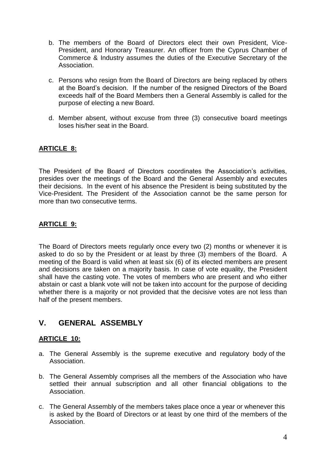- b. The members of the Board of Directors elect their own President, Vice-President, and Honorary Treasurer. An officer from the Cyprus Chamber of Commerce & Industry assumes the duties of the Executive Secretary of the Association.
- c. Persons who resign from the Board of Directors are being replaced by others at the Board's decision. If the number of the resigned Directors of the Board exceeds half of the Board Members then a General Assembly is called for the purpose of electing a new Board.
- d. Member absent, without excuse from three (3) consecutive board meetings loses his/her seat in the Board.

## **ARTICLE 8:**

The President of the Board of Directors coordinates the Association's activities, presides over the meetings of the Board and the General Assembly and executes their decisions. In the event of his absence the President is being substituted by the Vice-President. The President of the Association cannot be the same person for more than two consecutive terms.

#### **ARTICLE 9:**

The Board of Directors meets regularly once every two (2) months or whenever it is asked to do so by the President or at least by three (3) members of the Board. A meeting of the Board is valid when at least six (6) of its elected members are present and decisions are taken on a majority basis. In case of vote equality, the President shall have the casting vote. The votes of members who are present and who either abstain or cast a blank vote will not be taken into account for the purpose of deciding whether there is a majority or not provided that the decisive votes are not less than half of the present members.

# **V. GENERAL ASSEMBLY**

#### **ARTICLE 10:**

- a. The General Assembly is the supreme executive and regulatory body of the Association.
- b. The General Assembly comprises all the members of the Association who have settled their annual subscription and all other financial obligations to the Association.
- c. The General Assembly of the members takes place once a year or whenever this is asked by the Board of Directors or at least by one third of the members of the Association.